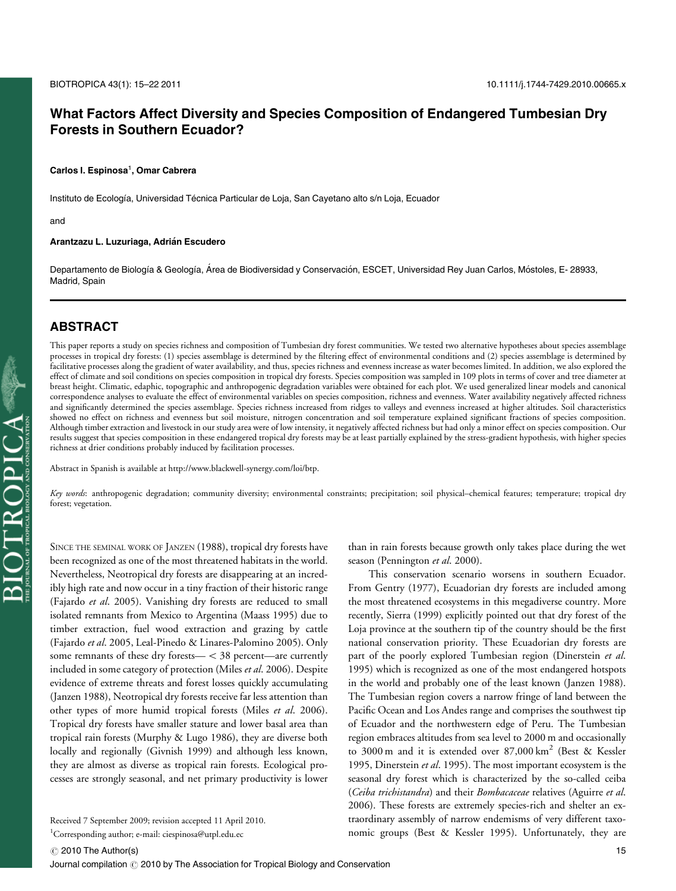# What Factors Affect Diversity and Species Composition of Endangered Tumbesian Dry Forests in Southern Ecuador?

#### Carlos I. Espinosa<sup>1</sup>, Omar Cabrera

Instituto de Ecología, Universidad Técnica Particular de Loja, San Cayetano alto s/n Loja, Ecuador

and

#### Arantzazu L. Luzuriaga, Adrián Escudero

Departamento de Biología & Geología, Área de Biodiversidad y Conservación, ESCET, Universidad Rey Juan Carlos, Móstoles, E- 28933, Madrid, Spain

### ABSTRACT

This paper reports a study on species richness and composition of Tumbesian dry forest communities. We tested two alternative hypotheses about species assemblage processes in tropical dry forests: (1) species assemblage is determined by the filtering effect of environmental conditions and (2) species assemblage is determined by facilitative processes along the gradient of water availability, and thus, species richness and evenness increase as water becomes limited. In addition, we also explored the effect of climate and soil conditions on species composition in tropical dry forests. Species composition was sampled in 109 plots in terms of cover and tree diameter at breast height. Climatic, edaphic, topographic and anthropogenic degradation variables were obtained for each plot. We used generalized linear models and canonical correspondence analyses to evaluate the effect of environmental variables on species composition, richness and evenness. Water availability negatively affected richness and significantly determined the species assemblage. Species richness increased from ridges to valleys and evenness increased at higher altitudes. Soil characteristics showed no effect on richness and evenness but soil moisture, nitrogen concentration and soil temperature explained significant fractions of species composition. Although timber extraction and livestock in our study area were of low intensity, it negatively affected richness but had only a minor effect on species composition. Our results suggest that species composition in these endangered tropical dry forests may be at least partially explained by the stress-gradient hypothesis, with higher species richness at drier conditions probably induced by facilitation processes.

Abstract in Spanish is available at [http://www.blackwell-synergy.com/loi/btp.](http://www.blackwell-synergy.com/loi/btp)

Key words: anthropogenic degradation; community diversity; environmental constraints; precipitation; soil physical–chemical features; temperature; tropical dry forest; vegetation.

SINCE THE SEMINAL WORK OF JANZEN (1988), tropical dry forests have been recognized as one of the most threatened habitats in the world. Nevertheless, Neotropical dry forests are disappearing at an incredibly high rate and now occur in a tiny fraction of their historic range (Fajardo et al. 2005). Vanishing dry forests are reduced to small isolated remnants from Mexico to Argentina (Maass 1995) due to timber extraction, fuel wood extraction and grazing by cattle (Fajardo et al. 2005, Leal-Pinedo & Linares-Palomino 2005). Only some remnants of these dry forests— $<$  38 percent—are currently included in some category of protection (Miles et al. 2006). Despite evidence of extreme threats and forest losses quickly accumulating (Janzen 1988), Neotropical dry forests receive far less attention than other types of more humid tropical forests (Miles et al. 2006). Tropical dry forests have smaller stature and lower basal area than tropical rain forests (Murphy & Lugo 1986), they are diverse both locally and regionally (Givnish 1999) and although less known, they are almost as diverse as tropical rain forests. Ecological processes are strongly seasonal, and net primary productivity is lower

<sup>1</sup>Corresponding author; e-mail: [ciespinosa@utpl.edu.ec](mailto:ciespinosa@utpl.edu.ec)

than in rain forests because growth only takes place during the wet season (Pennington et al. 2000).

This conservation scenario worsens in southern Ecuador. From Gentry (1977), Ecuadorian dry forests are included among the most threatened ecosystems in this megadiverse country. More recently, Sierra (1999) explicitly pointed out that dry forest of the Loja province at the southern tip of the country should be the first national conservation priority. These Ecuadorian dry forests are part of the poorly explored Tumbesian region (Dinerstein et al. 1995) which is recognized as one of the most endangered hotspots in the world and probably one of the least known (Janzen 1988). The Tumbesian region covers a narrow fringe of land between the Pacific Ocean and Los Andes range and comprises the southwest tip of Ecuador and the northwestern edge of Peru. The Tumbesian region embraces altitudes from sea level to 2000 m and occasionally to 3000 m and it is extended over  $87,000 \text{ km}^2$  (Best & Kessler 1995, Dinerstein et al. 1995). The most important ecosystem is the seasonal dry forest which is characterized by the so-called ceiba (Ceiba trichistandra) and their Bombacaceae relatives (Aguirre et al. 2006). These forests are extremely species-rich and shelter an extraordinary assembly of narrow endemisms of very different taxonomic groups (Best & Kessler 1995). Unfortunately, they are

Received 7 September 2009; revision accepted 11 April 2010.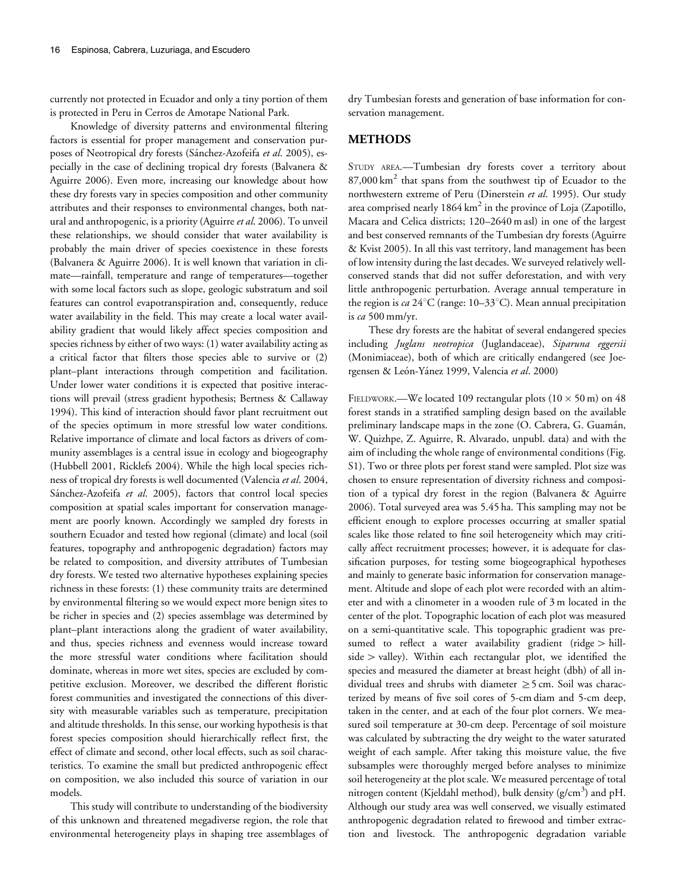currently not protected in Ecuador and only a tiny portion of them is protected in Peru in Cerros de Amotape National Park.

Knowledge of diversity patterns and environmental filtering factors is essential for proper management and conservation purposes of Neotropical dry forests (Sánchez-Azofeifa et al. 2005), especially in the case of declining tropical dry forests (Balvanera & Aguirre 2006). Even more, increasing our knowledge about how these dry forests vary in species composition and other community attributes and their responses to environmental changes, both natural and anthropogenic, is a priority (Aguirre et al. 2006). To unveil these relationships, we should consider that water availability is probably the main driver of species coexistence in these forests (Balvanera & Aguirre 2006). It is well known that variation in climate—rainfall, temperature and range of temperatures—together with some local factors such as slope, geologic substratum and soil features can control evapotranspiration and, consequently, reduce water availability in the field. This may create a local water availability gradient that would likely affect species composition and species richness by either of two ways: (1) water availability acting as a critical factor that filters those species able to survive or (2) plant–plant interactions through competition and facilitation. Under lower water conditions it is expected that positive interactions will prevail (stress gradient hypothesis; Bertness & Callaway 1994). This kind of interaction should favor plant recruitment out of the species optimum in more stressful low water conditions. Relative importance of climate and local factors as drivers of community assemblages is a central issue in ecology and biogeography (Hubbell 2001, Ricklefs 2004). While the high local species richness of tropical dry forests is well documented (Valencia et al. 2004, Sánchez-Azofeifa et al. 2005), factors that control local species composition at spatial scales important for conservation management are poorly known. Accordingly we sampled dry forests in southern Ecuador and tested how regional (climate) and local (soil features, topography and anthropogenic degradation) factors may be related to composition, and diversity attributes of Tumbesian dry forests. We tested two alternative hypotheses explaining species richness in these forests: (1) these community traits are determined by environmental filtering so we would expect more benign sites to be richer in species and (2) species assemblage was determined by plant–plant interactions along the gradient of water availability, and thus, species richness and evenness would increase toward the more stressful water conditions where facilitation should dominate, whereas in more wet sites, species are excluded by competitive exclusion. Moreover, we described the different floristic forest communities and investigated the connections of this diversity with measurable variables such as temperature, precipitation and altitude thresholds. In this sense, our working hypothesis is that forest species composition should hierarchically reflect first, the effect of climate and second, other local effects, such as soil characteristics. To examine the small but predicted anthropogenic effect on composition, we also included this source of variation in our models.

This study will contribute to understanding of the biodiversity of this unknown and threatened megadiverse region, the role that environmental heterogeneity plays in shaping tree assemblages of dry Tumbesian forests and generation of base information for conservation management.

## METHODS

STUDY AREA.—Tumbesian dry forests cover a territory about 87,000 km<sup>2</sup> that spans from the southwest tip of Ecuador to the northwestern extreme of Peru (Dinerstein et al. 1995). Our study area comprised nearly  $1864 \text{ km}^2$  in the province of Loja (Zapotillo, Macara and Celica districts; 120–2640 m asl) in one of the largest and best conserved remnants of the Tumbesian dry forests (Aguirre & Kvist 2005). In all this vast territory, land management has been of low intensity during the last decades. We surveyed relatively wellconserved stands that did not suffer deforestation, and with very little anthropogenic perturbation. Average annual temperature in the region is ca  $24^{\circ}$ C (range: 10–33 $^{\circ}$ C). Mean annual precipitation is ca 500 mm/yr.

These dry forests are the habitat of several endangered species including Juglans neotropica (Juglandaceae), Siparuna eggersii (Monimiaceae), both of which are critically endangered (see Joergensen & León-Yánez 1999, Valencia et al. 2000)

FIELDWORK.—We located 109 rectangular plots (10  $\times$  50 m) on 48 forest stands in a stratified sampling design based on the available preliminary landscape maps in the zone (O. Cabrera, G. Guamán, W. Quizhpe, Z. Aguirre, R. Alvarado, unpubl. data) and with the aim of including the whole range of environmental conditions (Fig. S1). Two or three plots per forest stand were sampled. Plot size was chosen to ensure representation of diversity richness and composition of a typical dry forest in the region (Balvanera & Aguirre 2006). Total surveyed area was 5.45 ha. This sampling may not be efficient enough to explore processes occurring at smaller spatial scales like those related to fine soil heterogeneity which may critically affect recruitment processes; however, it is adequate for classification purposes, for testing some biogeographical hypotheses and mainly to generate basic information for conservation management. Altitude and slope of each plot were recorded with an altimeter and with a clinometer in a wooden rule of 3 m located in the center of the plot. Topographic location of each plot was measured on a semi-quantitative scale. This topographic gradient was presumed to reflect a water availability gradient (ridge  $>$  hill $side$   $>$  valley). Within each rectangular plot, we identified the species and measured the diameter at breast height (dbh) of all individual trees and shrubs with diameter  $\geq$  5 cm. Soil was characterized by means of five soil cores of 5-cm diam and 5-cm deep, taken in the center, and at each of the four plot corners. We measured soil temperature at 30-cm deep. Percentage of soil moisture was calculated by subtracting the dry weight to the water saturated weight of each sample. After taking this moisture value, the five subsamples were thoroughly merged before analyses to minimize soil heterogeneity at the plot scale. We measured percentage of total nitrogen content (Kjeldahl method), bulk density ( $g/cm<sup>3</sup>$ ) and pH. Although our study area was well conserved, we visually estimated anthropogenic degradation related to firewood and timber extraction and livestock. The anthropogenic degradation variable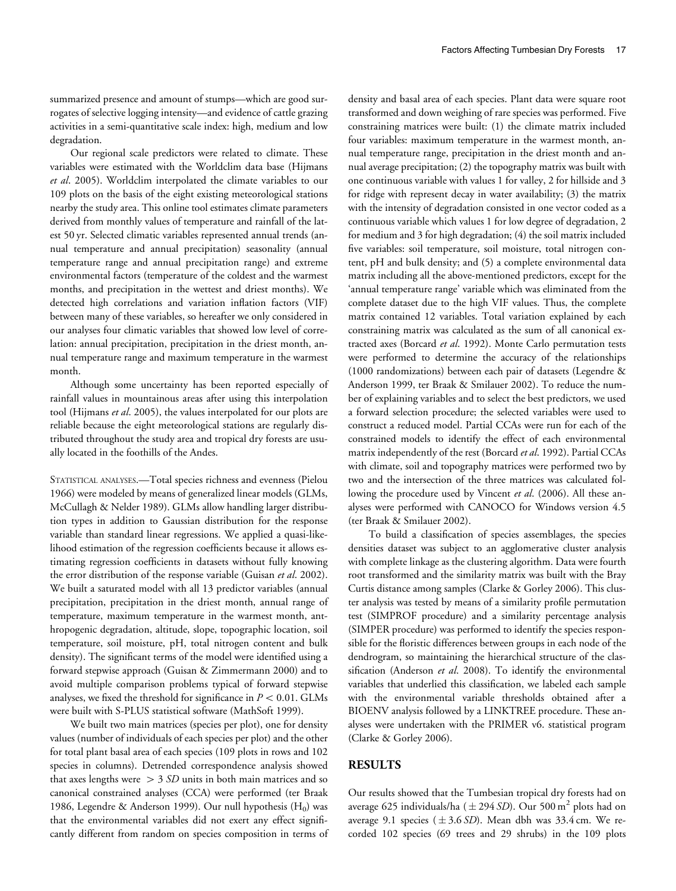summarized presence and amount of stumps—which are good surrogates of selective logging intensity—and evidence of cattle grazing activities in a semi-quantitative scale index: high, medium and low degradation.

Our regional scale predictors were related to climate. These variables were estimated with the Worldclim data base (Hijmans et al. 2005). Worldclim interpolated the climate variables to our 109 plots on the basis of the eight existing meteorological stations nearby the study area. This online tool estimates climate parameters derived from monthly values of temperature and rainfall of the latest 50 yr. Selected climatic variables represented annual trends (annual temperature and annual precipitation) seasonality (annual temperature range and annual precipitation range) and extreme environmental factors (temperature of the coldest and the warmest months, and precipitation in the wettest and driest months). We detected high correlations and variation inflation factors (VIF) between many of these variables, so hereafter we only considered in our analyses four climatic variables that showed low level of correlation: annual precipitation, precipitation in the driest month, annual temperature range and maximum temperature in the warmest month.

Although some uncertainty has been reported especially of rainfall values in mountainous areas after using this interpolation tool (Hijmans et al. 2005), the values interpolated for our plots are reliable because the eight meteorological stations are regularly distributed throughout the study area and tropical dry forests are usually located in the foothills of the Andes.

STATISTICAL ANALYSES.—Total species richness and evenness (Pielou 1966) were modeled by means of generalized linear models (GLMs, McCullagh & Nelder 1989). GLMs allow handling larger distribution types in addition to Gaussian distribution for the response variable than standard linear regressions. We applied a quasi-likelihood estimation of the regression coefficients because it allows estimating regression coefficients in datasets without fully knowing the error distribution of the response variable (Guisan et al. 2002). We built a saturated model with all 13 predictor variables (annual precipitation, precipitation in the driest month, annual range of temperature, maximum temperature in the warmest month, anthropogenic degradation, altitude, slope, topographic location, soil temperature, soil moisture, pH, total nitrogen content and bulk density). The significant terms of the model were identified using a forward stepwise approach (Guisan & Zimmermann 2000) and to avoid multiple comparison problems typical of forward stepwise analyses, we fixed the threshold for significance in  $P < 0.01$ . GLMs were built with S-PLUS statistical software (MathSoft 1999).

We built two main matrices (species per plot), one for density values (number of individuals of each species per plot) and the other for total plant basal area of each species (109 plots in rows and 102 species in columns). Detrended correspondence analysis showed that axes lengths were  $>$  3 SD units in both main matrices and so canonical constrained analyses (CCA) were performed (ter Braak 1986, Legendre & Anderson 1999). Our null hypothesis  $(H_0)$  was that the environmental variables did not exert any effect significantly different from random on species composition in terms of density and basal area of each species. Plant data were square root transformed and down weighing of rare species was performed. Five constraining matrices were built: (1) the climate matrix included four variables: maximum temperature in the warmest month, annual temperature range, precipitation in the driest month and annual average precipitation; (2) the topography matrix was built with one continuous variable with values 1 for valley, 2 for hillside and 3 for ridge with represent decay in water availability; (3) the matrix with the intensity of degradation consisted in one vector coded as a continuous variable which values 1 for low degree of degradation, 2 for medium and 3 for high degradation; (4) the soil matrix included five variables: soil temperature, soil moisture, total nitrogen content, pH and bulk density; and (5) a complete environmental data matrix including all the above-mentioned predictors, except for the 'annual temperature range' variable which was eliminated from the complete dataset due to the high VIF values. Thus, the complete matrix contained 12 variables. Total variation explained by each constraining matrix was calculated as the sum of all canonical extracted axes (Borcard et al. 1992). Monte Carlo permutation tests were performed to determine the accuracy of the relationships (1000 randomizations) between each pair of datasets (Legendre & Anderson 1999, ter Braak & Smilauer 2002). To reduce the number of explaining variables and to select the best predictors, we used a forward selection procedure; the selected variables were used to construct a reduced model. Partial CCAs were run for each of the constrained models to identify the effect of each environmental matrix independently of the rest (Borcard et al. 1992). Partial CCAs with climate, soil and topography matrices were performed two by two and the intersection of the three matrices was calculated following the procedure used by Vincent et al. (2006). All these analyses were performed with CANOCO for Windows version 4.5 (ter Braak & Smilauer 2002).

To build a classification of species assemblages, the species densities dataset was subject to an agglomerative cluster analysis with complete linkage as the clustering algorithm. Data were fourth root transformed and the similarity matrix was built with the Bray Curtis distance among samples (Clarke & Gorley 2006). This cluster analysis was tested by means of a similarity profile permutation test (SIMPROF procedure) and a similarity percentage analysis (SIMPER procedure) was performed to identify the species responsible for the floristic differences between groups in each node of the dendrogram, so maintaining the hierarchical structure of the classification (Anderson et al. 2008). To identify the environmental variables that underlied this classification, we labeled each sample with the environmental variable thresholds obtained after a BIOENV analysis followed by a LINKTREE procedure. These analyses were undertaken with the PRIMER v6. statistical program (Clarke & Gorley 2006).

### RESULTS

Our results showed that the Tumbesian tropical dry forests had on average 625 individuals/ha ( $\pm$  294 SD). Our 500 m<sup>2</sup> plots had on average 9.1 species ( $\pm$  3.6 SD). Mean dbh was 33.4 cm. We recorded 102 species (69 trees and 29 shrubs) in the 109 plots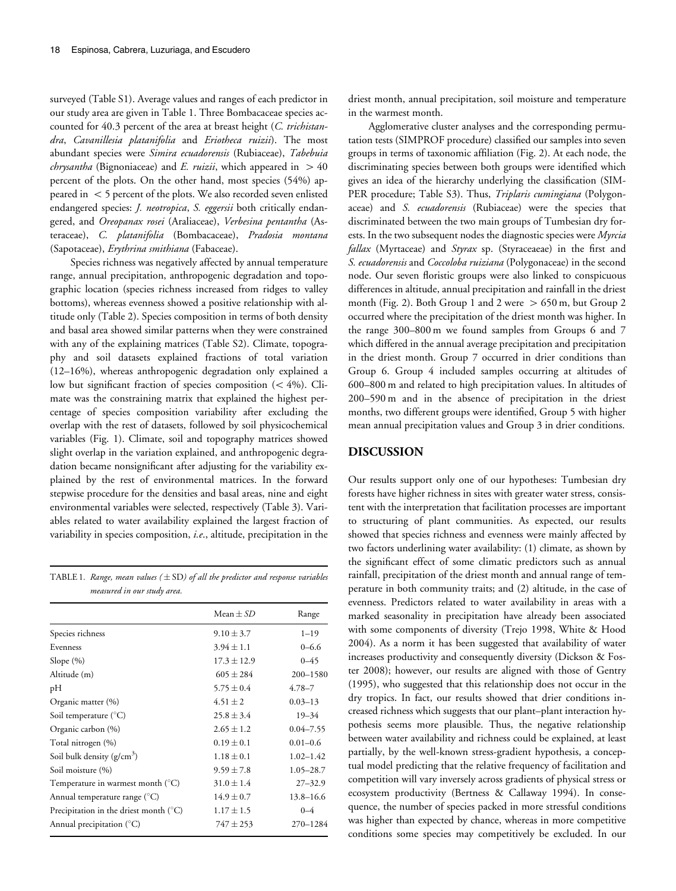surveyed (Table S1). Average values and ranges of each predictor in our study area are given in Table 1. Three Bombacaceae species accounted for 40.3 percent of the area at breast height (C. trichistandra, Cavanillesia platanifolia and Eriotheca ruizii). The most abundant species were Simira ecuadorensis (Rubiaceae), Tabebuia *chrysantha* (Bignoniaceae) and *E. ruizii*, which appeared in  $> 40$ percent of the plots. On the other hand, most species (54%) appeared in  $\leq$  5 percent of the plots. We also recorded seven enlisted endangered species: *J. neotropica*, *S. eggersii* both critically endangered, and Oreopanax rosei (Araliaceae), Verbesina pentantha (Asteraceae), C. platanifolia (Bombacaceae), Pradosia montana (Sapotaceae), Erythrina smithiana (Fabaceae).

Species richness was negatively affected by annual temperature range, annual precipitation, anthropogenic degradation and topographic location (species richness increased from ridges to valley bottoms), whereas evenness showed a positive relationship with altitude only (Table 2). Species composition in terms of both density and basal area showed similar patterns when they were constrained with any of the explaining matrices (Table S2). Climate, topography and soil datasets explained fractions of total variation (12–16%), whereas anthropogenic degradation only explained a low but significant fraction of species composition  $(< 4\%)$ . Climate was the constraining matrix that explained the highest percentage of species composition variability after excluding the overlap with the rest of datasets, followed by soil physicochemical variables (Fig. 1). Climate, soil and topography matrices showed slight overlap in the variation explained, and anthropogenic degradation became nonsignificant after adjusting for the variability explained by the rest of environmental matrices. In the forward stepwise procedure for the densities and basal areas, nine and eight environmental variables were selected, respectively (Table 3). Variables related to water availability explained the largest fraction of variability in species composition, i.e., altitude, precipitation in the

TABLE 1. Range, mean values  $(\pm SD)$  of all the predictor and response variables measured in our study area.

|                                                | Mean $\pm SD$   | Range         |
|------------------------------------------------|-----------------|---------------|
| Species richness                               | $9.10 \pm 3.7$  | $1 - 19$      |
| Evenness                                       | $3.94 \pm 1.1$  | $0 - 6.6$     |
| Slope $(\% )$                                  | $17.3 \pm 12.9$ | $0 - 45$      |
| Altitude (m)                                   | $605 \pm 284$   | 200-1580      |
| pН                                             | $5.75 \pm 0.4$  | $4.78 - 7$    |
| Organic matter (%)                             | $4.51 \pm 2$    | $0.03 - 13$   |
| Soil temperature (°C)                          | $25.8 \pm 3.4$  | $19 - 34$     |
| Organic carbon (%)                             | $2.65 \pm 1.2$  | $0.04 - 7.55$ |
| Total nitrogen (%)                             | $0.19 \pm 0.1$  | $0.01 - 0.6$  |
| Soil bulk density (g/cm <sup>3</sup> )         | $1.18 \pm 0.1$  | $1.02 - 1.42$ |
| Soil moisture (%)                              | $9.59 \pm 7.8$  | 1.05-28.7     |
| Temperature in warmest month $(^\circ C)$      | $31.0 \pm 1.4$  | $27 - 32.9$   |
| Annual temperature range $(^{\circ}C)$         | $14.9 \pm 0.7$  | $13.8 - 16.6$ |
| Precipitation in the driest month $(^\circ C)$ | $1.17 \pm 1.5$  | $0 - 4$       |
| Annual precipitation $(^{\circ}C)$             | $747 \pm 253$   | 270-1284      |

driest month, annual precipitation, soil moisture and temperature in the warmest month.

Agglomerative cluster analyses and the corresponding permutation tests (SIMPROF procedure) classified our samples into seven groups in terms of taxonomic affiliation (Fig. 2). At each node, the discriminating species between both groups were identified which gives an idea of the hierarchy underlying the classification (SIM-PER procedure; Table S3). Thus, Triplaris cumingiana (Polygonaceae) and S. ecuadorensis (Rubiaceae) were the species that discriminated between the two main groups of Tumbesian dry forests. In the two subsequent nodes the diagnostic species were Myrcia fallax (Myrtaceae) and Styrax sp. (Styraceaeae) in the first and S. ecuadorensis and Coccoloba ruiziana (Polygonaceae) in the second node. Our seven floristic groups were also linked to conspicuous differences in altitude, annual precipitation and rainfall in the driest month (Fig. 2). Both Group 1 and 2 were  $> 650$  m, but Group 2 occurred where the precipitation of the driest month was higher. In the range 300–800 m we found samples from Groups 6 and 7 which differed in the annual average precipitation and precipitation in the driest month. Group 7 occurred in drier conditions than Group 6. Group 4 included samples occurring at altitudes of 600–800 m and related to high precipitation values. In altitudes of 200–590 m and in the absence of precipitation in the driest months, two different groups were identified, Group 5 with higher mean annual precipitation values and Group 3 in drier conditions.

## DISCUSSION

Our results support only one of our hypotheses: Tumbesian dry forests have higher richness in sites with greater water stress, consistent with the interpretation that facilitation processes are important to structuring of plant communities. As expected, our results showed that species richness and evenness were mainly affected by two factors underlining water availability: (1) climate, as shown by the significant effect of some climatic predictors such as annual rainfall, precipitation of the driest month and annual range of temperature in both community traits; and (2) altitude, in the case of evenness. Predictors related to water availability in areas with a marked seasonality in precipitation have already been associated with some components of diversity (Trejo 1998, White & Hood 2004). As a norm it has been suggested that availability of water increases productivity and consequently diversity (Dickson & Foster 2008); however, our results are aligned with those of Gentry (1995), who suggested that this relationship does not occur in the dry tropics. In fact, our results showed that drier conditions increased richness which suggests that our plant–plant interaction hypothesis seems more plausible. Thus, the negative relationship between water availability and richness could be explained, at least partially, by the well-known stress-gradient hypothesis, a conceptual model predicting that the relative frequency of facilitation and competition will vary inversely across gradients of physical stress or ecosystem productivity (Bertness & Callaway 1994). In consequence, the number of species packed in more stressful conditions was higher than expected by chance, whereas in more competitive conditions some species may competitively be excluded. In our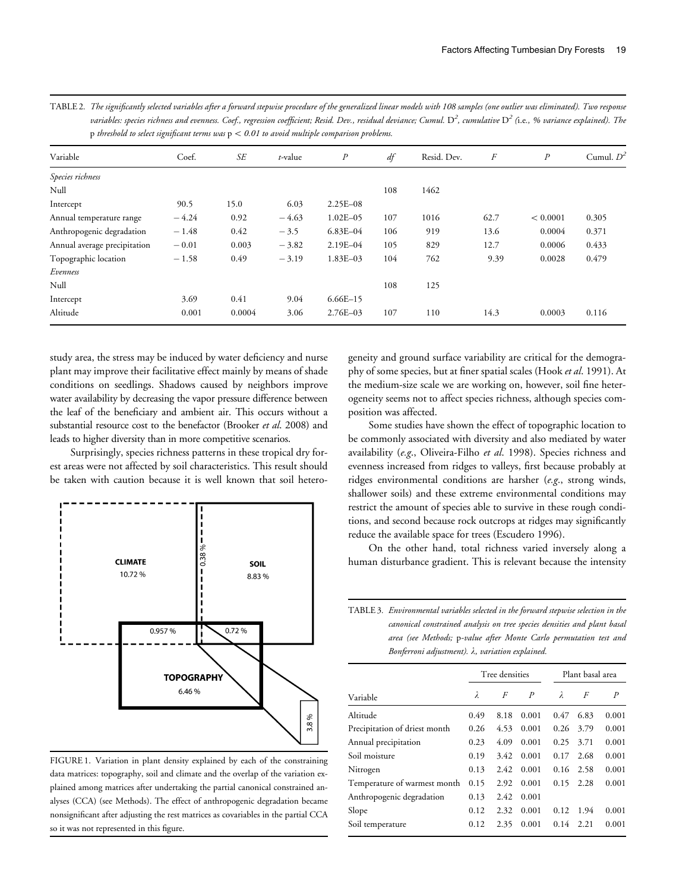| TABLE 2. The significantly selected variables after a forward stepwise procedure of the generalized linear models with 108 samples (one outlier was eliminated). Two response |
|-------------------------------------------------------------------------------------------------------------------------------------------------------------------------------|
| variables: species richness and evenness. Coef., regression coefficient; Resid. Dev., residual deviance; Cumul. $D^2$ , cumulative $D^2$ (i.e., % variance explained). The    |
| p threshold to select significant terms was $p < 0.01$ to avoid multiple comparison problems.                                                                                 |

| Variable                     | Coef.   | <b>SE</b> | t-value | $\boldsymbol{P}$ | df  | Resid. Dev. | $\boldsymbol{F}$ | $\boldsymbol{P}$ | Cumul. $D^2$ |
|------------------------------|---------|-----------|---------|------------------|-----|-------------|------------------|------------------|--------------|
| Species richness             |         |           |         |                  |     |             |                  |                  |              |
| Null                         |         |           |         |                  | 108 | 1462        |                  |                  |              |
| Intercept                    | 90.5    | 15.0      | 6.03    | 2.25E-08         |     |             |                  |                  |              |
| Annual temperature range     | $-4.24$ | 0.92      | $-4.63$ | $1.02E - 05$     | 107 | 1016        | 62.7             | < 0.0001         | 0.305        |
| Anthropogenic degradation    | $-1.48$ | 0.42      | $-3.5$  | $6.83E - 04$     | 106 | 919         | 13.6             | 0.0004           | 0.371        |
| Annual average precipitation | $-0.01$ | 0.003     | $-3.82$ | 2.19E-04         | 105 | 829         | 12.7             | 0.0006           | 0.433        |
| Topographic location         | $-1.58$ | 0.49      | $-3.19$ | 1.83E-03         | 104 | 762         | 9.39             | 0.0028           | 0.479        |
| Evenness                     |         |           |         |                  |     |             |                  |                  |              |
| Null                         |         |           |         |                  | 108 | 125         |                  |                  |              |
| Intercept                    | 3.69    | 0.41      | 9.04    | 6.66E-15         |     |             |                  |                  |              |
| Altitude                     | 0.001   | 0.0004    | 3.06    | 2.76E-03         | 107 | 110         | 14.3             | 0.0003           | 0.116        |

study area, the stress may be induced by water deficiency and nurse plant may improve their facilitative effect mainly by means of shade conditions on seedlings. Shadows caused by neighbors improve water availability by decreasing the vapor pressure difference between the leaf of the beneficiary and ambient air. This occurs without a substantial resource cost to the benefactor (Brooker et al. 2008) and leads to higher diversity than in more competitive scenarios.

Surprisingly, species richness patterns in these tropical dry forest areas were not affected by soil characteristics. This result should be taken with caution because it is well known that soil hetero-



FIGURE 1. Variation in plant density explained by each of the constraining data matrices: topography, soil and climate and the overlap of the variation explained among matrices after undertaking the partial canonical constrained analyses (CCA) (see Methods). The effect of anthropogenic degradation became nonsignificant after adjusting the rest matrices as covariables in the partial CCA so it was not represented in this figure.

geneity and ground surface variability are critical for the demography of some species, but at finer spatial scales (Hook et al. 1991). At the medium-size scale we are working on, however, soil fine heterogeneity seems not to affect species richness, although species composition was affected.

Some studies have shown the effect of topographic location to be commonly associated with diversity and also mediated by water availability (e.g., Oliveira-Filho et al. 1998). Species richness and evenness increased from ridges to valleys, first because probably at ridges environmental conditions are harsher (e.g., strong winds, shallower soils) and these extreme environmental conditions may restrict the amount of species able to survive in these rough conditions, and second because rock outcrops at ridges may significantly reduce the available space for trees (Escudero 1996).

On the other hand, total richness varied inversely along a human disturbance gradient. This is relevant because the intensity

TABLE 3. Environmental variables selected in the forward stepwise selection in the canonical constrained analysis on tree species densities and plant basal area (see Methods; p-value after Monte Carlo permutation test and Bonferroni adjustment).  $\lambda$ , variation explained.

|                               | Tree densities |      |                | Plant basal area |      |                |
|-------------------------------|----------------|------|----------------|------------------|------|----------------|
| Variable                      | λ              | F    | $\overline{P}$ | λ                | F    | $\overline{P}$ |
| Altitude                      | 0.49           | 8.18 | 0.001          | 0.47             | 6.83 | 0.001          |
| Precipitation of driest month | 0.26           | 4.53 | 0.001          | 0.26             | 3.79 | 0.001          |
| Annual precipitation          | 0.23           | 4.09 | 0.001          | 0.25             | 3.71 | 0.001          |
| Soil moisture                 | 0.19           | 3.42 | 0.001          | 0.17             | 2.68 | 0.001          |
| Nitrogen                      | 0.13           | 2.42 | 0.001          | 0.16             | 2.58 | 0.001          |
| Temperature of warmest month  | 0.15           | 2.92 | 0.001          | 0.15             | 2.28 | 0.001          |
| Anthropogenic degradation     | 0.13           | 2.42 | 0.001          |                  |      |                |
| Slope                         | 0.12           | 2.32 | 0.001          | 0.12             | 1.94 | 0.001          |
| Soil temperature              | 0.12           | 2.35 | 0.001          | 0.14             | 2.21 | 0.001          |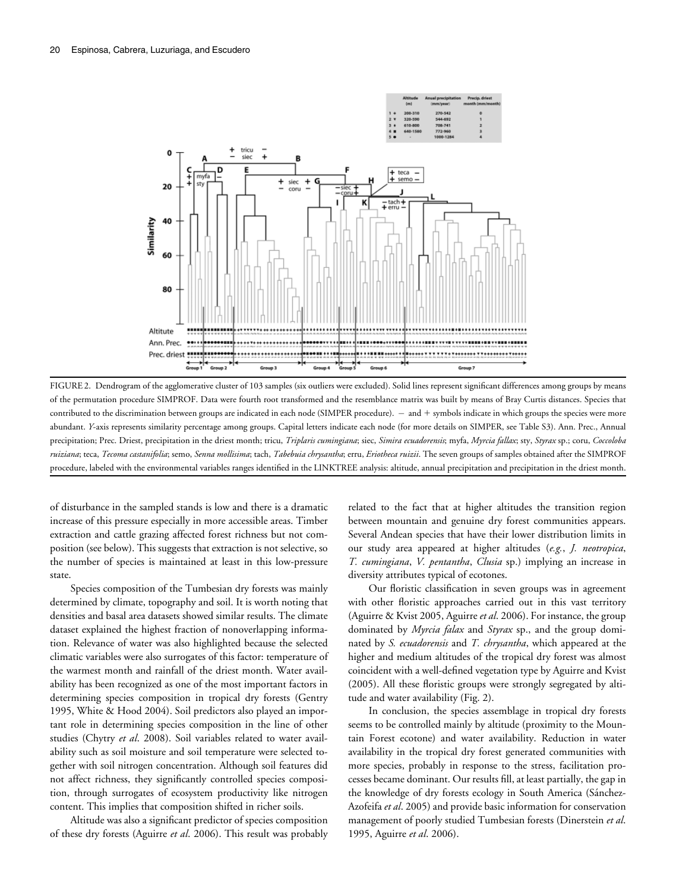

FIGURE 2. Dendrogram of the agglomerative cluster of 103 samples (six outliers were excluded). Solid lines represent significant differences among groups by means of the permutation procedure SIMPROF. Data were fourth root transformed and the resemblance matrix was built by means of Bray Curtis distances. Species that contributed to the discrimination between groups are indicated in each node (SIMPER procedure).  $-$  and + symbols indicate in which groups the species were more abundant. Y-axis represents similarity percentage among groups. Capital letters indicate each node (for more details on SIMPER, see Table S3). Ann. Prec., Annual precipitation; Prec. Driest, precipitation in the driest month; tricu, Triplaris cumingiana; siec, Simira ecuadorensis; myfa, Myrcia fallax; sty, Styrax sp.; coru, Coccoloba ruiziana; teca, Tecoma castanifolia; semo, Senna mollisima; tach, Tabebuia chrysantha; erru, Eriotheca ruizii. The seven groups of samples obtained after the SIMPROF procedure, labeled with the environmental variables ranges identified in the LINKTREE analysis: altitude, annual precipitation and precipitation in the driest month.

of disturbance in the sampled stands is low and there is a dramatic increase of this pressure especially in more accessible areas. Timber extraction and cattle grazing affected forest richness but not composition (see below). This suggests that extraction is not selective, so the number of species is maintained at least in this low-pressure state.

Species composition of the Tumbesian dry forests was mainly determined by climate, topography and soil. It is worth noting that densities and basal area datasets showed similar results. The climate dataset explained the highest fraction of nonoverlapping information. Relevance of water was also highlighted because the selected climatic variables were also surrogates of this factor: temperature of the warmest month and rainfall of the driest month. Water availability has been recognized as one of the most important factors in determining species composition in tropical dry forests (Gentry 1995, White & Hood 2004). Soil predictors also played an important role in determining species composition in the line of other studies (Chytry et al. 2008). Soil variables related to water availability such as soil moisture and soil temperature were selected together with soil nitrogen concentration. Although soil features did not affect richness, they significantly controlled species composition, through surrogates of ecosystem productivity like nitrogen content. This implies that composition shifted in richer soils.

Altitude was also a significant predictor of species composition of these dry forests (Aguirre et al. 2006). This result was probably

related to the fact that at higher altitudes the transition region between mountain and genuine dry forest communities appears. Several Andean species that have their lower distribution limits in our study area appeared at higher altitudes (e.g., J. neotropica, T. cumingiana, V. pentantha, Clusia sp.) implying an increase in diversity attributes typical of ecotones.

Our floristic classification in seven groups was in agreement with other floristic approaches carried out in this vast territory (Aguirre & Kvist 2005, Aguirre et al. 2006). For instance, the group dominated by *Myrcia falax* and *Styrax* sp., and the group dominated by S. ecuadorensis and T. chrysantha, which appeared at the higher and medium altitudes of the tropical dry forest was almost coincident with a well-defined vegetation type by Aguirre and Kvist (2005). All these floristic groups were strongly segregated by altitude and water availability (Fig. 2).

In conclusion, the species assemblage in tropical dry forests seems to be controlled mainly by altitude (proximity to the Mountain Forest ecotone) and water availability. Reduction in water availability in the tropical dry forest generated communities with more species, probably in response to the stress, facilitation processes became dominant. Our results fill, at least partially, the gap in the knowledge of dry forests ecology in South America (Sánchez-Azofeifa et al. 2005) and provide basic information for conservation management of poorly studied Tumbesian forests (Dinerstein et al. 1995, Aguirre et al. 2006).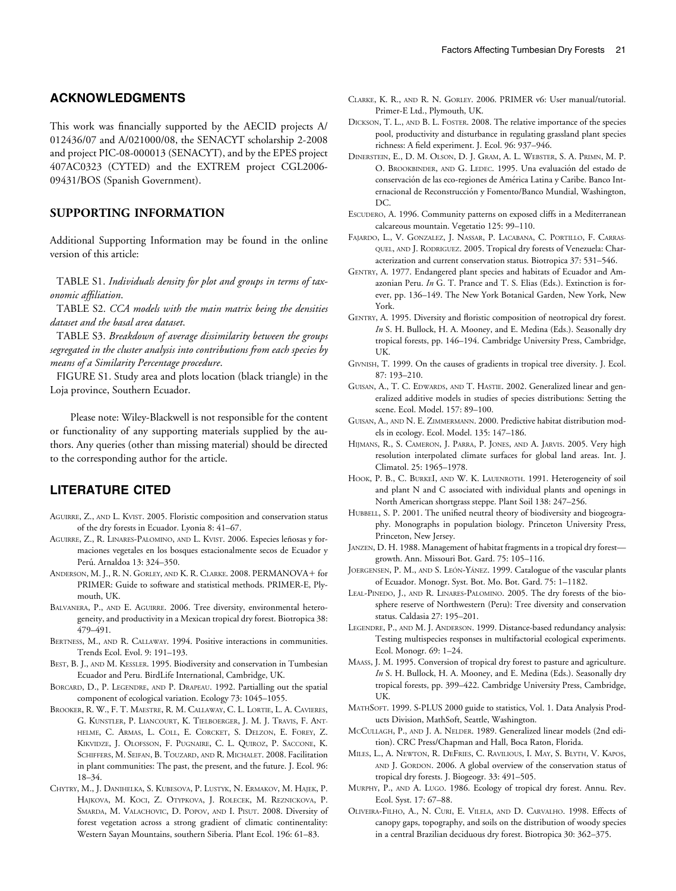## ACKNOWLEDGMENTS

This work was financially supported by the AECID projects A/ 012436/07 and A/021000/08, the SENACYT scholarship 2-2008 and project PIC-08-000013 (SENACYT), and by the EPES project 407AC0323 (CYTED) and the EXTREM project CGL2006- 09431/BOS (Spanish Government).

## SUPPORTING INFORMATION

Additional Supporting Information may be found in the online version of this article:

TABLE S1. Individuals density for plot and groups in terms of taxonomic affiliation.

TABLE S2. CCA models with the main matrix being the densities dataset and the basal area dataset.

TABLE S3. Breakdown of average dissimilarity between the groups segregated in the cluster analysis into contributions from each species by means of a Similarity Percentage procedure.

FIGURE S1. Study area and plots location (black triangle) in the Loja province, Southern Ecuador.

Please note: Wiley-Blackwell is not responsible for the content or functionality of any supporting materials supplied by the authors. Any queries (other than missing material) should be directed to the corresponding author for the article.

# LITERATURE CITED

- AGUIRRE, Z., AND L. KVIST. 2005. Floristic composition and conservation status of the dry forests in Ecuador. Lyonia 8: 41–67.
- AGUIRRE, Z., R. LINARES-PALOMINO, AND L. KVIST. 2006. Especies leñosas y formaciones vegetales en los bosques estacionalmente secos de Ecuador y Perú. Arnaldoa 13: 324-350.
- ANDERSON, M. J., R. N. GORLEY, AND K. R. CLARKE. 2008. PERMANOVA+ for PRIMER: Guide to software and statistical methods. PRIMER-E, Plymouth, UK.
- BALVANERA, P., AND E. AGUIRRE. 2006. Tree diversity, environmental heterogeneity, and productivity in a Mexican tropical dry forest. Biotropica 38: 479–491.
- BERTNESS, M., AND R. CALLAWAY. 1994. Positive interactions in communities. Trends Ecol. Evol. 9: 191–193.
- BEST, B. J., AND M. KESSLER. 1995. Biodiversity and conservation in Tumbesian Ecuador and Peru. BirdLife International, Cambridge, UK.
- BORCARD, D., P. LEGENDRE, AND P. DRAPEAU. 1992. Partialling out the spatial component of ecological variation. Ecology 73: 1045–1055.
- BROOKER, R. W., F. T. MAESTRE, R. M. CALLAWAY, C. L. LORTIE, L. A. CAVIERES, G. KUNSTLER, P. LIANCOURT, K. TIELBOERGER, J. M. J. TRAVIS, F. ANT-HELME, C. ARMAS, L. COLL, E. CORCKET, S. DELZON, E. FOREY, Z. KIKVIDZE, J. OLOFSSON, F. PUGNAIRE, C. L. QUIROZ, P. SACCONE, K. SCHIFFERS, M. SEIFAN, B. TOUZARD, AND R. MICHALET. 2008. Facilitation in plant communities: The past, the present, and the future. J. Ecol. 96: 18–34.
- CHYTRY, M., J. DANIHELKA, S. KUBESOVA, P. LUSTYK, N. ERMAKOV, M. HAJEK, P. HAJKOVA, M. KOCI, Z. OTYPKOVA, J. ROLECEK, M. REZNICKOVA, P. SMARDA, M. VALACHOVIC, D. POPOV, AND I. PISUT. 2008. Diversity of forest vegetation across a strong gradient of climatic continentality: Western Sayan Mountains, southern Siberia. Plant Ecol. 196: 61–83.
- CLARKE, K. R., AND R. N. GORLEY. 2006. PRIMER v6: User manual/tutorial. Primer-E Ltd., Plymouth, UK.
- DICKSON, T. L., AND B. L. FOSTER. 2008. The relative importance of the species pool, productivity and disturbance in regulating grassland plant species richness: A field experiment. J. Ecol. 96: 937–946.
- DINERSTEIN, E., D. M. OLSON, D. J. GRAM, A. L. WEBSTER, S. A. PRIMN, M. P. O. BROOKBINDER, AND G. LEDEC. 1995. Una evaluación del estado de conservación de las eco-regiones de América Latina y Caribe. Banco Internacional de Reconstrucción y Fomento/Banco Mundial, Washington, DC.
- ESCUDERO, A. 1996. Community patterns on exposed cliffs in a Mediterranean calcareous mountain. Vegetatio 125: 99–110.
- FAJARDO, L., V. GONZALEZ, J. NASSAR, P. LACABANA, C. PORTILLO, F. CARRAS-QUEL, AND J. RODRIGUEZ. 2005. Tropical dry forests of Venezuela: Characterization and current conservation status. Biotropica 37: 531–546.
- GENTRY, A. 1977. Endangered plant species and habitats of Ecuador and Amazonian Peru. In G. T. Prance and T. S. Elias (Eds.). Extinction is forever, pp. 136–149. The New York Botanical Garden, New York, New York.
- GENTRY, A. 1995. Diversity and floristic composition of neotropical dry forest. In S. H. Bullock, H. A. Mooney, and E. Medina (Eds.). Seasonally dry tropical forests, pp. 146–194. Cambridge University Press, Cambridge, UK.
- GIVNISH, T. 1999. On the causes of gradients in tropical tree diversity. J. Ecol. 87: 193–210.
- GUISAN, A., T. C. EDWARDS, AND T. HASTIE. 2002. Generalized linear and generalized additive models in studies of species distributions: Setting the scene. Ecol. Model. 157: 89–100.
- GUISAN, A., AND N. E. ZIMMERMANN. 2000. Predictive habitat distribution models in ecology. Ecol. Model. 135: 147–186.
- HIJMANS, R., S. CAMERON, J. PARRA, P. JONES, AND A. JARVIS. 2005. Very high resolution interpolated climate surfaces for global land areas. Int. J. Climatol. 25: 1965–1978.
- HOOK, P. B., C. BURKEI, AND W. K. LAUENROTH. 1991. Heterogeneity of soil and plant N and C associated with individual plants and openings in North American shortgrass steppe. Plant Soil 138: 247–256.
- HUBBELL, S. P. 2001. The unified neutral theory of biodiversity and biogeography. Monographs in population biology. Princeton University Press, Princeton, New Jersey.
- JANZEN, D. H. 1988. Management of habitat fragments in a tropical dry forest growth. Ann. Missouri Bot. Gard. 75: 105–116.
- JOERGENSEN, P. M., AND S. LEÓN-YÁNEZ. 1999. Catalogue of the vascular plants of Ecuador. Monogr. Syst. Bot. Mo. Bot. Gard. 75: 1–1182.
- LEAL-PINEDO, J., AND R. LINARES-PALOMINO. 2005. The dry forests of the biosphere reserve of Northwestern (Peru): Tree diversity and conservation status. Caldasia 27: 195–201.
- LEGENDRE, P., AND M. J. ANDERSON. 1999. Distance-based redundancy analysis: Testing multispecies responses in multifactorial ecological experiments. Ecol. Monogr. 69: 1–24.
- MAASS, J. M. 1995. Conversion of tropical dry forest to pasture and agriculture. In S. H. Bullock, H. A. Mooney, and E. Medina (Eds.). Seasonally dry tropical forests, pp. 399–422. Cambridge University Press, Cambridge, UK.
- MATHSOFT. 1999. S-PLUS 2000 guide to statistics, Vol. 1. Data Analysis Products Division, MathSoft, Seattle, Washington.
- MCCULLAGH, P., AND J. A. NELDER. 1989. Generalized linear models (2nd edition). CRC Press/Chapman and Hall, Boca Raton, Florida.
- MILES, L., A. NEWTON, R. DEFRIES, C. RAVILIOUS, I. MAY, S. BLYTH, V. KAPOS, AND J. GORDON. 2006. A global overview of the conservation status of tropical dry forests. J. Biogeogr. 33: 491–505.
- MURPHY, P., AND A. LUGO. 1986. Ecology of tropical dry forest. Annu. Rev. Ecol. Syst. 17: 67–88.
- OLIVEIRA-FILHO, A., N. CURI, E. VILELA, AND D. CARVALHO. 1998. Effects of canopy gaps, topography, and soils on the distribution of woody species in a central Brazilian deciduous dry forest. Biotropica 30: 362–375.